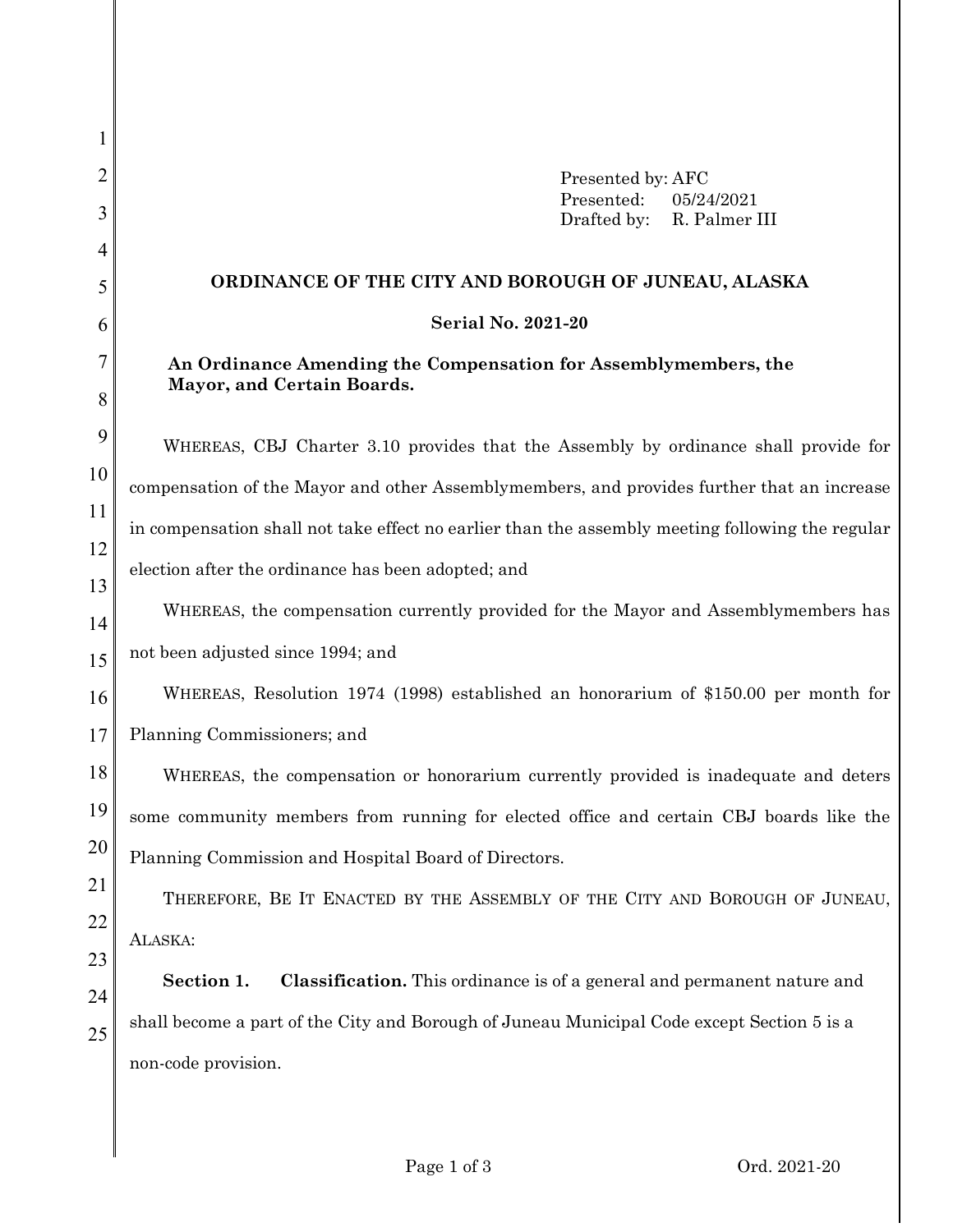1 2 3 4 5 6 7 8 9 10 11 12 13 14 15 16 17 18 19 20 21 22 23 24 25 Presented by: AFC Presented: 05/24/2021 Drafted by: R. Palmer III **ORDINANCE OF THE CITY AND BOROUGH OF JUNEAU, ALASKA Serial No. 2021-20 An Ordinance Amending the Compensation for Assemblymembers, the Mayor, and Certain Boards.** WHEREAS, CBJ Charter 3.10 provides that the Assembly by ordinance shall provide for compensation of the Mayor and other Assemblymembers, and provides further that an increase in compensation shall not take effect no earlier than the assembly meeting following the regular election after the ordinance has been adopted; and WHEREAS, the compensation currently provided for the Mayor and Assemblymembers has not been adjusted since 1994; and WHEREAS, Resolution 1974 (1998) established an honorarium of \$150.00 per month for Planning Commissioners; and WHEREAS, the compensation or honorarium currently provided is inadequate and deters some community members from running for elected office and certain CBJ boards like the Planning Commission and Hospital Board of Directors. THEREFORE, BE IT ENACTED BY THE ASSEMBLY OF THE CITY AND BOROUGH OF JUNEAU, ALASKA: **Section 1. Classification.** This ordinance is of a general and permanent nature and shall become a part of the City and Borough of Juneau Municipal Code except Section 5 is a non-code provision.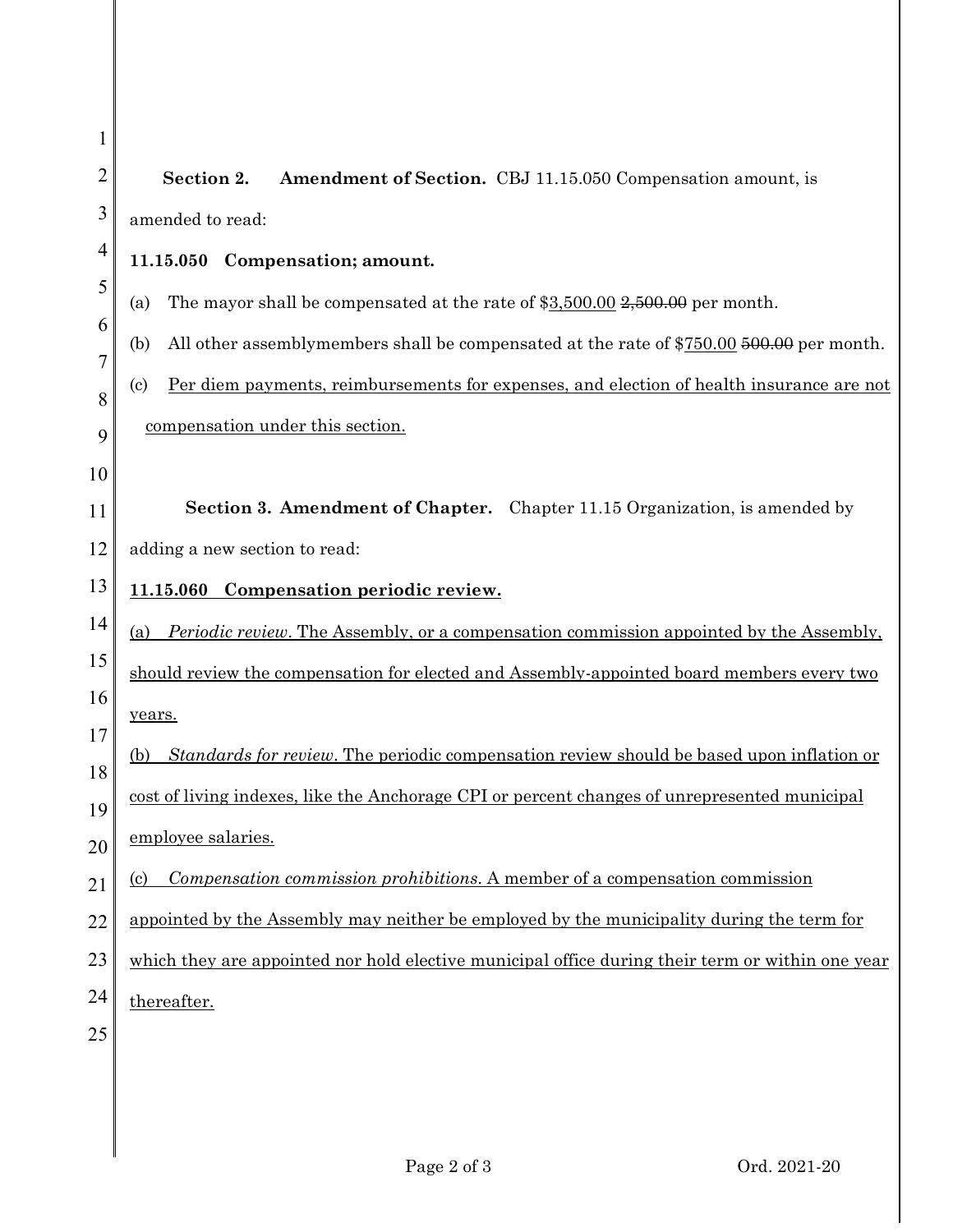| Section 2.<br>Amendment of Section. CBJ 11.15.050 Compensation amount, is                                                     |
|-------------------------------------------------------------------------------------------------------------------------------|
| amended to read:                                                                                                              |
| 11.15.050 Compensation; amount.                                                                                               |
| The mayor shall be compensated at the rate of $$3,500.00$ $$2,500.00$ per month.<br>(a)                                       |
| All other assemblymembers shall be compensated at the rate of \$750.00 500.00 per month.<br>(b)                               |
| <u>Per diem payments, reimbursements for expenses, and election of health insurance are not</u><br>$\left( \mathrm{c}\right)$ |
| compensation under this section.                                                                                              |
|                                                                                                                               |
| <b>Section 3. Amendment of Chapter.</b> Chapter 11.15 Organization, is amended by                                             |
| adding a new section to read:                                                                                                 |
| 11.15.060 Compensation periodic review.                                                                                       |
| <i>Periodic review.</i> The Assembly, or a compensation commission appointed by the Assembly,<br>(a)                          |
| should review the compensation for elected and Assembly-appointed board members every two                                     |
| years.                                                                                                                        |
| Standards for review. The periodic compensation review should be based upon inflation or<br>(b)                               |
| cost of living indexes, like the Anchorage CPI or percent changes of unrepresented municipal                                  |
| employee salaries.                                                                                                            |
| <i>Compensation commission prohibitions.</i> A member of a compensation commission<br><u>(c)</u>                              |
| appointed by the Assembly may neither be employed by the municipality during the term for                                     |
| which they are appointed nor hold elective municipal office during their term or within one year                              |
| thereafter.                                                                                                                   |
|                                                                                                                               |
|                                                                                                                               |
|                                                                                                                               |

1